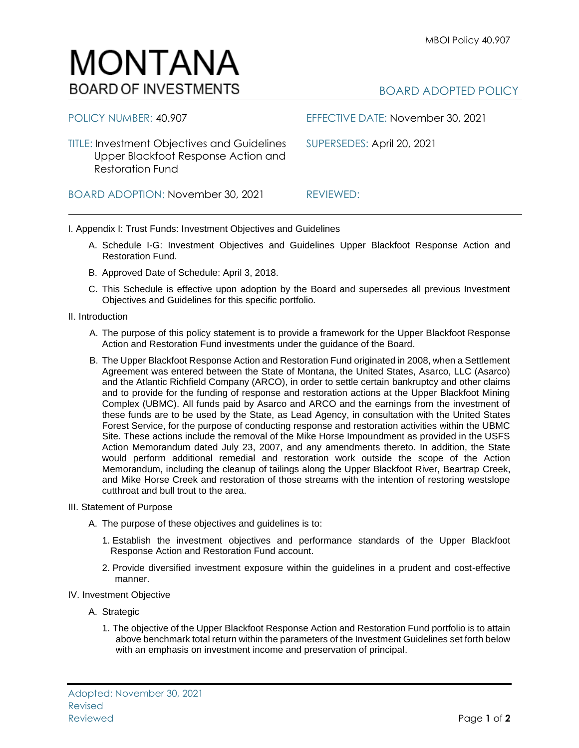## Reviewed Page **1** of **2**

## BOARD ADOPTED POLICY

TITLE: Investment Objectives and Guidelines SUPERSEDES: April 20, 2021 Upper Blackfoot Response Action and Restoration Fund

BOARD ADOPTION: November 30, 2021 REVIEWED:

I. Appendix I: Trust Funds: Investment Objectives and Guidelines

- A. Schedule I-G: Investment Objectives and Guidelines Upper Blackfoot Response Action and Restoration Fund.
- B. Approved Date of Schedule: April 3, 2018.
- C. This Schedule is effective upon adoption by the Board and supersedes all previous Investment Objectives and Guidelines for this specific portfolio*.*
- II. Introduction
	- A. The purpose of this policy statement is to provide a framework for the Upper Blackfoot Response Action and Restoration Fund investments under the guidance of the Board.
	- B. The Upper Blackfoot Response Action and Restoration Fund originated in 2008, when a Settlement Agreement was entered between the State of Montana, the United States, Asarco, LLC (Asarco) and the Atlantic Richfield Company (ARCO), in order to settle certain bankruptcy and other claims and to provide for the funding of response and restoration actions at the Upper Blackfoot Mining Complex (UBMC). All funds paid by Asarco and ARCO and the earnings from the investment of these funds are to be used by the State, as Lead Agency, in consultation with the United States Forest Service, for the purpose of conducting response and restoration activities within the UBMC Site. These actions include the removal of the Mike Horse Impoundment as provided in the USFS Action Memorandum dated July 23, 2007, and any amendments thereto. In addition, the State would perform additional remedial and restoration work outside the scope of the Action Memorandum, including the cleanup of tailings along the Upper Blackfoot River, Beartrap Creek, and Mike Horse Creek and restoration of those streams with the intention of restoring westslope cutthroat and bull trout to the area.
- III. Statement of Purpose
	- A. The purpose of these objectives and guidelines is to:
		- 1. Establish the investment objectives and performance standards of the Upper Blackfoot Response Action and Restoration Fund account.
		- 2. Provide diversified investment exposure within the guidelines in a prudent and cost-effective manner.
- IV. Investment Objective

Adopted: November 30, 2021

A. Strategic

Revised

1. The objective of the Upper Blackfoot Response Action and Restoration Fund portfolio is to attain above benchmark total return within the parameters of the Investment Guidelines set forth below with an emphasis on investment income and preservation of principal.



POLICY NUMBER: 40.907 EFFECTIVE DATE: November 30, 2021